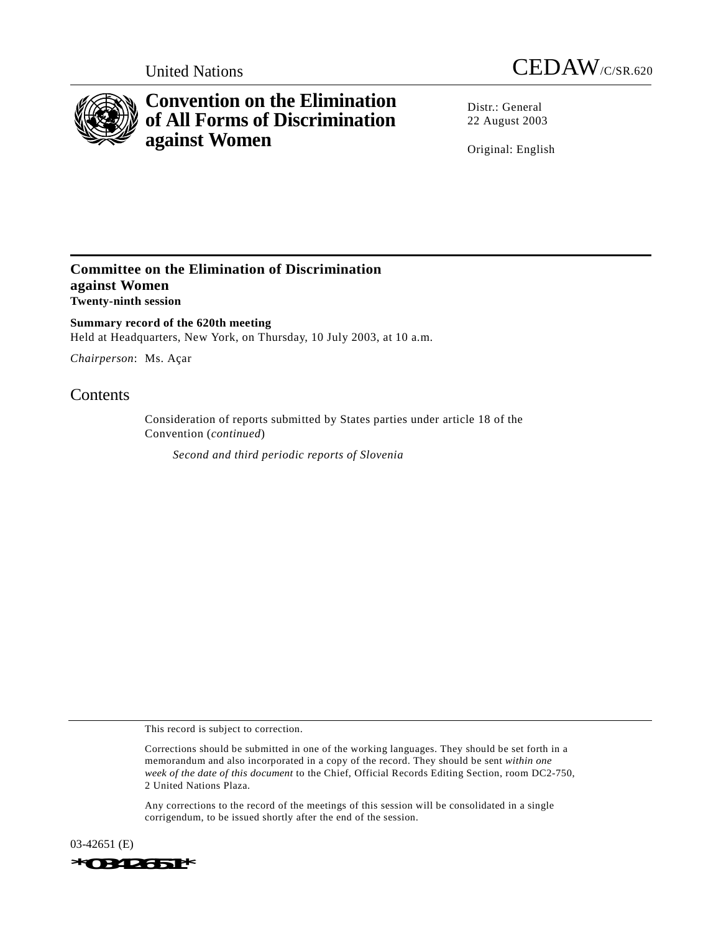



## **Convention on the Elimination of All Forms of Discrimination against Women**

Distr · General 22 August 2003

Original: English

## **Committee on the Elimination of Discrimination against Women Twenty-ninth session**

**Summary record of the 620th meeting** Held at Headquarters, New York, on Thursday, 10 July 2003, at 10 a.m.

*Chairperson*: Ms. Açar

## **Contents**

Consideration of reports submitted by States parties under article 18 of the Convention (*continued*)

*Second and third periodic reports of Slovenia*

This record is subject to correction.

Corrections should be submitted in one of the working languages. They should be set forth in a memorandum and also incorporated in a copy of the record. They should be sent *within one week of the date of this document* to the Chief, Official Records Editing Section, room DC2-750, 2 United Nations Plaza.

Any corrections to the record of the meetings of this session will be consolidated in a single corrigendum, to be issued shortly after the end of the session.

03-42651 (E) *\*0342651\**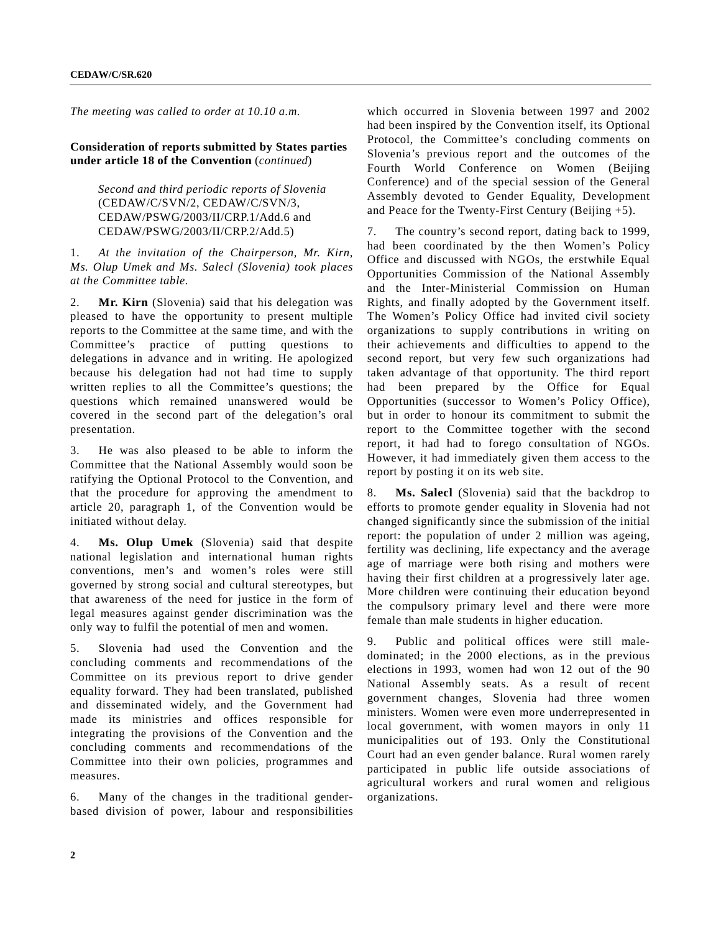*The meeting was called to order at 10.10 a.m.*

**Consideration of reports submitted by States parties under article 18 of the Convention** (*continued*)

> *Second and third periodic reports of Slovenia* (CEDAW/C/SVN/2, CEDAW/C/SVN/3, CEDAW/PSWG/2003/II/CRP.1/Add.6 and CEDAW/PSWG/2003/II/CRP.2/Add.5)

1. *At the invitation of the Chairperson, Mr. Kirn, Ms. Olup Umek and Ms. Salecl (Slovenia) took places at the Committee table.*

2. **Mr. Kirn** (Slovenia) said that his delegation was pleased to have the opportunity to present multiple reports to the Committee at the same time, and with the Committee's practice of putting questions to delegations in advance and in writing. He apologized because his delegation had not had time to supply written replies to all the Committee's questions; the questions which remained unanswered would be covered in the second part of the delegation's oral presentation.

3. He was also pleased to be able to inform the Committee that the National Assembly would soon be ratifying the Optional Protocol to the Convention, and that the procedure for approving the amendment to article 20, paragraph 1, of the Convention would be initiated without delay.

4. **Ms. Olup Umek** (Slovenia) said that despite national legislation and international human rights conventions, men's and women's roles were still governed by strong social and cultural stereotypes, but that awareness of the need for justice in the form of legal measures against gender discrimination was the only way to fulfil the potential of men and women.

5. Slovenia had used the Convention and the concluding comments and recommendations of the Committee on its previous report to drive gender equality forward. They had been translated, published and disseminated widely, and the Government had made its ministries and offices responsible for integrating the provisions of the Convention and the concluding comments and recommendations of the Committee into their own policies, programmes and measures.

6. Many of the changes in the traditional genderbased division of power, labour and responsibilities

which occurred in Slovenia between 1997 and 2002 had been inspired by the Convention itself, its Optional Protocol, the Committee's concluding comments on Slovenia's previous report and the outcomes of the Fourth World Conference on Women (Beijing Conference) and of the special session of the General Assembly devoted to Gender Equality, Development and Peace for the Twenty-First Century (Beijing  $+5$ ).

7. The country's second report, dating back to 1999, had been coordinated by the then Women's Policy Office and discussed with NGOs, the erstwhile Equal Opportunities Commission of the National Assembly and the Inter-Ministerial Commission on Human Rights, and finally adopted by the Government itself. The Women's Policy Office had invited civil society organizations to supply contributions in writing on their achievements and difficulties to append to the second report, but very few such organizations had taken advantage of that opportunity. The third report had been prepared by the Office for Equal Opportunities (successor to Women's Policy Office), but in order to honour its commitment to submit the report to the Committee together with the second report, it had had to forego consultation of NGOs. However, it had immediately given them access to the report by posting it on its web site.

8. **Ms. Salecl** (Slovenia) said that the backdrop to efforts to promote gender equality in Slovenia had not changed significantly since the submission of the initial report: the population of under 2 million was ageing, fertility was declining, life expectancy and the average age of marriage were both rising and mothers were having their first children at a progressively later age. More children were continuing their education beyond the compulsory primary level and there were more female than male students in higher education.

9. Public and political offices were still maledominated; in the 2000 elections, as in the previous elections in 1993, women had won 12 out of the 90 National Assembly seats. As a result of recent government changes, Slovenia had three women ministers. Women were even more underrepresented in local government, with women mayors in only 11 municipalities out of 193. Only the Constitutional Court had an even gender balance. Rural women rarely participated in public life outside associations of agricultural workers and rural women and religious organizations.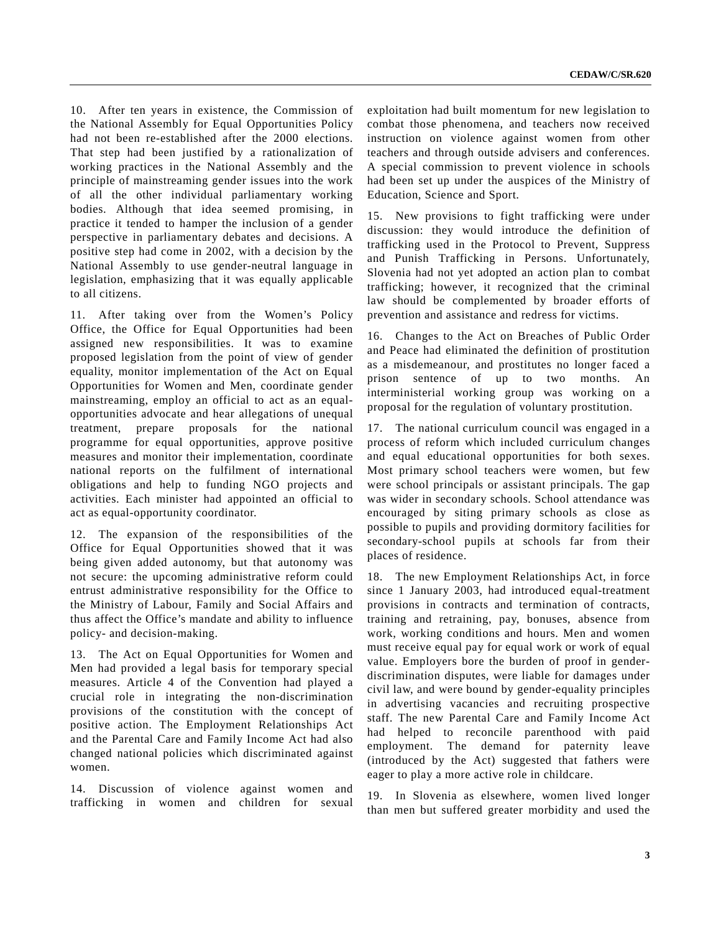10. After ten years in existence, the Commission of the National Assembly for Equal Opportunities Policy had not been re-established after the 2000 elections. That step had been justified by a rationalization of working practices in the National Assembly and the principle of mainstreaming gender issues into the work of all the other individual parliamentary working bodies. Although that idea seemed promising, in practice it tended to hamper the inclusion of a gender perspective in parliamentary debates and decisions. A positive step had come in 2002, with a decision by the National Assembly to use gender-neutral language in legislation, emphasizing that it was equally applicable to all citizens.

11. After taking over from the Women's Policy Office, the Office for Equal Opportunities had been assigned new responsibilities. It was to examine proposed legislation from the point of view of gender equality, monitor implementation of the Act on Equal Opportunities for Women and Men, coordinate gender mainstreaming, employ an official to act as an equalopportunities advocate and hear allegations of unequal treatment, prepare proposals for the national programme for equal opportunities, approve positive measures and monitor their implementation, coordinate national reports on the fulfilment of international obligations and help to funding NGO projects and activities. Each minister had appointed an official to act as equal-opportunity coordinator.

12. The expansion of the responsibilities of the Office for Equal Opportunities showed that it was being given added autonomy, but that autonomy was not secure: the upcoming administrative reform could entrust administrative responsibility for the Office to the Ministry of Labour, Family and Social Affairs and thus affect the Office's mandate and ability to influence policy- and decision-making.

13. The Act on Equal Opportunities for Women and Men had provided a legal basis for temporary special measures. Article 4 of the Convention had played a crucial role in integrating the non-discrimination provisions of the constitution with the concept of positive action. The Employment Relationships Act and the Parental Care and Family Income Act had also changed national policies which discriminated against women.

14. Discussion of violence against women and trafficking in women and children for sexual exploitation had built momentum for new legislation to combat those phenomena, and teachers now received instruction on violence against women from other teachers and through outside advisers and conferences. A special commission to prevent violence in schools had been set up under the auspices of the Ministry of Education, Science and Sport.

15. New provisions to fight trafficking were under discussion: they would introduce the definition of trafficking used in the Protocol to Prevent, Suppress and Punish Trafficking in Persons. Unfortunately, Slovenia had not yet adopted an action plan to combat trafficking; however, it recognized that the criminal law should be complemented by broader efforts of prevention and assistance and redress for victims.

16. Changes to the Act on Breaches of Public Order and Peace had eliminated the definition of prostitution as a misdemeanour, and prostitutes no longer faced a prison sentence of up to two months. An interministerial working group was working on a proposal for the regulation of voluntary prostitution.

17. The national curriculum council was engaged in a process of reform which included curriculum changes and equal educational opportunities for both sexes. Most primary school teachers were women, but few were school principals or assistant principals. The gap was wider in secondary schools. School attendance was encouraged by siting primary schools as close as possible to pupils and providing dormitory facilities for secondary-school pupils at schools far from their places of residence.

18. The new Employment Relationships Act, in force since 1 January 2003, had introduced equal-treatment provisions in contracts and termination of contracts, training and retraining, pay, bonuses, absence from work, working conditions and hours. Men and women must receive equal pay for equal work or work of equal value. Employers bore the burden of proof in genderdiscrimination disputes, were liable for damages under civil law, and were bound by gender-equality principles in advertising vacancies and recruiting prospective staff. The new Parental Care and Family Income Act had helped to reconcile parenthood with paid employment. The demand for paternity leave (introduced by the Act) suggested that fathers were eager to play a more active role in childcare.

19. In Slovenia as elsewhere, women lived longer than men but suffered greater morbidity and used the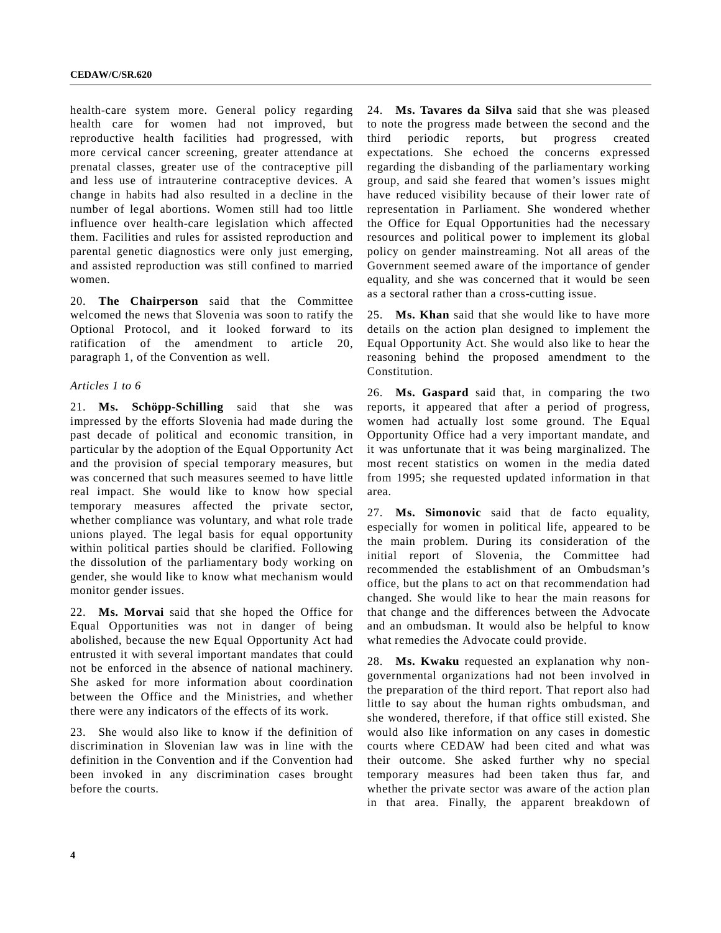health-care system more. General policy regarding health care for women had not improved, but reproductive health facilities had progressed, with more cervical cancer screening, greater attendance at prenatal classes, greater use of the contraceptive pill and less use of intrauterine contraceptive devices. A change in habits had also resulted in a decline in the number of legal abortions. Women still had too little influence over health-care legislation which affected them. Facilities and rules for assisted reproduction and parental genetic diagnostics were only just emerging, and assisted reproduction was still confined to married women.

20. **The Chairperson** said that the Committee welcomed the news that Slovenia was soon to ratify the Optional Protocol, and it looked forward to its ratification of the amendment to article 20, paragraph 1, of the Convention as well.

## *Articles 1 to 6*

21. **Ms. Schöpp-Schilling** said that she was impressed by the efforts Slovenia had made during the past decade of political and economic transition, in particular by the adoption of the Equal Opportunity Act and the provision of special temporary measures, but was concerned that such measures seemed to have little real impact. She would like to know how special temporary measures affected the private sector, whether compliance was voluntary, and what role trade unions played. The legal basis for equal opportunity within political parties should be clarified. Following the dissolution of the parliamentary body working on gender, she would like to know what mechanism would monitor gender issues.

22. **Ms. Morvai** said that she hoped the Office for Equal Opportunities was not in danger of being abolished, because the new Equal Opportunity Act had entrusted it with several important mandates that could not be enforced in the absence of national machinery. She asked for more information about coordination between the Office and the Ministries, and whether there were any indicators of the effects of its work.

23. She would also like to know if the definition of discrimination in Slovenian law was in line with the definition in the Convention and if the Convention had been invoked in any discrimination cases brought before the courts.

24. **Ms. Tavares da Silva** said that she was pleased to note the progress made between the second and the third periodic reports, but progress created expectations. She echoed the concerns expressed regarding the disbanding of the parliamentary working group, and said she feared that women's issues might have reduced visibility because of their lower rate of representation in Parliament. She wondered whether the Office for Equal Opportunities had the necessary resources and political power to implement its global policy on gender mainstreaming. Not all areas of the Government seemed aware of the importance of gender equality, and she was concerned that it would be seen as a sectoral rather than a cross-cutting issue.

25. **Ms. Khan** said that she would like to have more details on the action plan designed to implement the Equal Opportunity Act. She would also like to hear the reasoning behind the proposed amendment to the Constitution.

26. **Ms. Gaspard** said that, in comparing the two reports, it appeared that after a period of progress, women had actually lost some ground. The Equal Opportunity Office had a very important mandate, and it was unfortunate that it was being marginalized. The most recent statistics on women in the media dated from 1995; she requested updated information in that area.

27. **Ms. Simonovic** said that de facto equality, especially for women in political life, appeared to be the main problem. During its consideration of the initial report of Slovenia, the Committee had recommended the establishment of an Ombudsman's office, but the plans to act on that recommendation had changed. She would like to hear the main reasons for that change and the differences between the Advocate and an ombudsman. It would also be helpful to know what remedies the Advocate could provide.

28. **Ms. Kwaku** requested an explanation why nongovernmental organizations had not been involved in the preparation of the third report. That report also had little to say about the human rights ombudsman, and she wondered, therefore, if that office still existed. She would also like information on any cases in domestic courts where CEDAW had been cited and what was their outcome. She asked further why no special temporary measures had been taken thus far, and whether the private sector was aware of the action plan in that area. Finally, the apparent breakdown of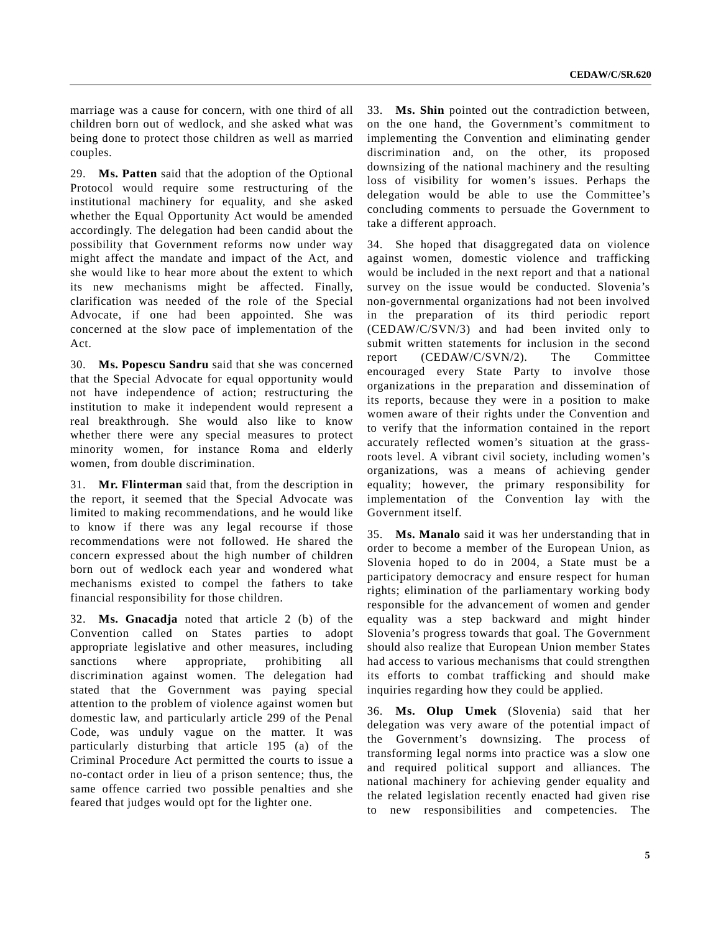marriage was a cause for concern, with one third of all children born out of wedlock, and she asked what was being done to protect those children as well as married couples.

29. **Ms. Patten** said that the adoption of the Optional Protocol would require some restructuring of the institutional machinery for equality, and she asked whether the Equal Opportunity Act would be amended accordingly. The delegation had been candid about the possibility that Government reforms now under way might affect the mandate and impact of the Act, and she would like to hear more about the extent to which its new mechanisms might be affected. Finally, clarification was needed of the role of the Special Advocate, if one had been appointed. She was concerned at the slow pace of implementation of the Act.

30. **Ms. Popescu Sandru** said that she was concerned that the Special Advocate for equal opportunity would not have independence of action; restructuring the institution to make it independent would represent a real breakthrough. She would also like to know whether there were any special measures to protect minority women, for instance Roma and elderly women, from double discrimination.

31. **Mr. Flinterman** said that, from the description in the report, it seemed that the Special Advocate was limited to making recommendations, and he would like to know if there was any legal recourse if those recommendations were not followed. He shared the concern expressed about the high number of children born out of wedlock each year and wondered what mechanisms existed to compel the fathers to take financial responsibility for those children.

32. **Ms. Gnacadja** noted that article 2 (b) of the Convention called on States parties to adopt appropriate legislative and other measures, including sanctions where appropriate, prohibiting all discrimination against women. The delegation had stated that the Government was paying special attention to the problem of violence against women but domestic law, and particularly article 299 of the Penal Code, was unduly vague on the matter. It was particularly disturbing that article 195 (a) of the Criminal Procedure Act permitted the courts to issue a no-contact order in lieu of a prison sentence; thus, the same offence carried two possible penalties and she feared that judges would opt for the lighter one.

33. **Ms. Shin** pointed out the contradiction between, on the one hand, the Government's commitment to implementing the Convention and eliminating gender discrimination and, on the other, its proposed downsizing of the national machinery and the resulting loss of visibility for women's issues. Perhaps the delegation would be able to use the Committee's concluding comments to persuade the Government to take a different approach.

34. She hoped that disaggregated data on violence against women, domestic violence and trafficking would be included in the next report and that a national survey on the issue would be conducted. Slovenia's non-governmental organizations had not been involved in the preparation of its third periodic report (CEDAW/C/SVN/3) and had been invited only to submit written statements for inclusion in the second report (CEDAW/C/SVN/2). The Committee encouraged every State Party to involve those organizations in the preparation and dissemination of its reports, because they were in a position to make women aware of their rights under the Convention and to verify that the information contained in the report accurately reflected women's situation at the grassroots level. A vibrant civil society, including women's organizations, was a means of achieving gender equality; however, the primary responsibility for implementation of the Convention lay with the Government itself.

35. **Ms. Manalo** said it was her understanding that in order to become a member of the European Union, as Slovenia hoped to do in 2004, a State must be a participatory democracy and ensure respect for human rights; elimination of the parliamentary working body responsible for the advancement of women and gender equality was a step backward and might hinder Slovenia's progress towards that goal. The Government should also realize that European Union member States had access to various mechanisms that could strengthen its efforts to combat trafficking and should make inquiries regarding how they could be applied.

36. **Ms. Olup Umek** (Slovenia) said that her delegation was very aware of the potential impact of the Government's downsizing. The process of transforming legal norms into practice was a slow one and required political support and alliances. The national machinery for achieving gender equality and the related legislation recently enacted had given rise to new responsibilities and competencies. The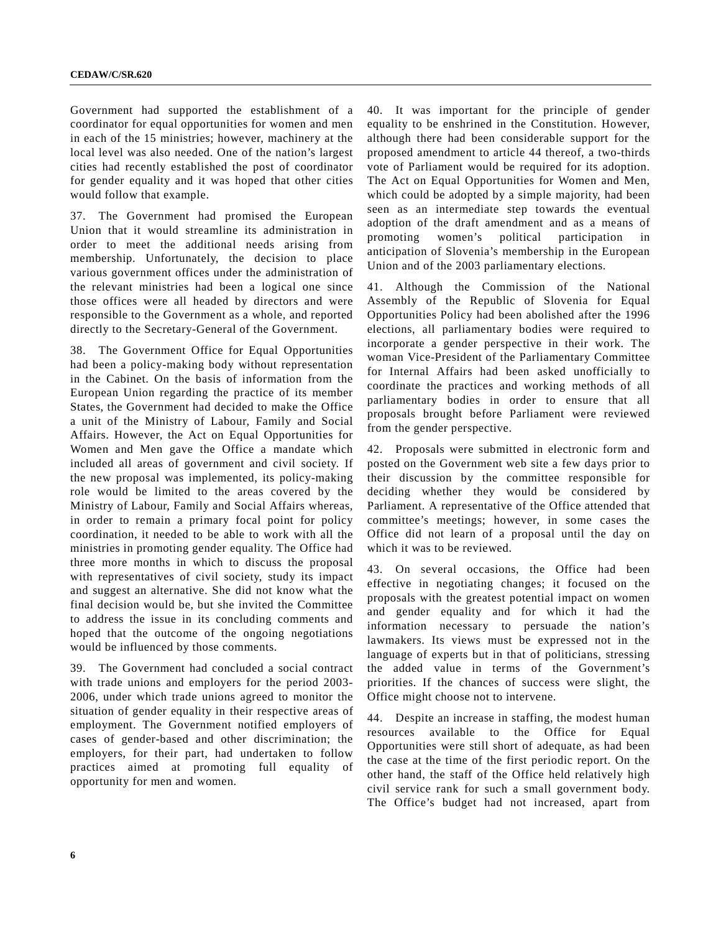Government had supported the establishment of a coordinator for equal opportunities for women and men in each of the 15 ministries; however, machinery at the local level was also needed. One of the nation's largest cities had recently established the post of coordinator for gender equality and it was hoped that other cities would follow that example.

37. The Government had promised the European Union that it would streamline its administration in order to meet the additional needs arising from membership. Unfortunately, the decision to place various government offices under the administration of the relevant ministries had been a logical one since those offices were all headed by directors and were responsible to the Government as a whole, and reported directly to the Secretary-General of the Government.

38. The Government Office for Equal Opportunities had been a policy-making body without representation in the Cabinet. On the basis of information from the European Union regarding the practice of its member States, the Government had decided to make the Office a unit of the Ministry of Labour, Family and Social Affairs. However, the Act on Equal Opportunities for Women and Men gave the Office a mandate which included all areas of government and civil society. If the new proposal was implemented, its policy-making role would be limited to the areas covered by the Ministry of Labour, Family and Social Affairs whereas, in order to remain a primary focal point for policy coordination, it needed to be able to work with all the ministries in promoting gender equality. The Office had three more months in which to discuss the proposal with representatives of civil society, study its impact and suggest an alternative. She did not know what the final decision would be, but she invited the Committee to address the issue in its concluding comments and hoped that the outcome of the ongoing negotiations would be influenced by those comments.

39. The Government had concluded a social contract with trade unions and employers for the period 2003- 2006, under which trade unions agreed to monitor the situation of gender equality in their respective areas of employment. The Government notified employers of cases of gender-based and other discrimination; the employers, for their part, had undertaken to follow practices aimed at promoting full equality of opportunity for men and women.

40. It was important for the principle of gender equality to be enshrined in the Constitution. However, although there had been considerable support for the proposed amendment to article 44 thereof, a two-thirds vote of Parliament would be required for its adoption. The Act on Equal Opportunities for Women and Men, which could be adopted by a simple majority, had been seen as an intermediate step towards the eventual adoption of the draft amendment and as a means of promoting women's political participation in anticipation of Slovenia's membership in the European Union and of the 2003 parliamentary elections.

41. Although the Commission of the National Assembly of the Republic of Slovenia for Equal Opportunities Policy had been abolished after the 1996 elections, all parliamentary bodies were required to incorporate a gender perspective in their work. The woman Vice-President of the Parliamentary Committee for Internal Affairs had been asked unofficially to coordinate the practices and working methods of all parliamentary bodies in order to ensure that all proposals brought before Parliament were reviewed from the gender perspective.

42. Proposals were submitted in electronic form and posted on the Government web site a few days prior to their discussion by the committee responsible for deciding whether they would be considered by Parliament. A representative of the Office attended that committee's meetings; however, in some cases the Office did not learn of a proposal until the day on which it was to be reviewed.

43. On several occasions, the Office had been effective in negotiating changes; it focused on the proposals with the greatest potential impact on women and gender equality and for which it had the information necessary to persuade the nation's lawmakers. Its views must be expressed not in the language of experts but in that of politicians, stressing the added value in terms of the Government's priorities. If the chances of success were slight, the Office might choose not to intervene.

44. Despite an increase in staffing, the modest human resources available to the Office for Equal Opportunities were still short of adequate, as had been the case at the time of the first periodic report. On the other hand, the staff of the Office held relatively high civil service rank for such a small government body. The Office's budget had not increased, apart from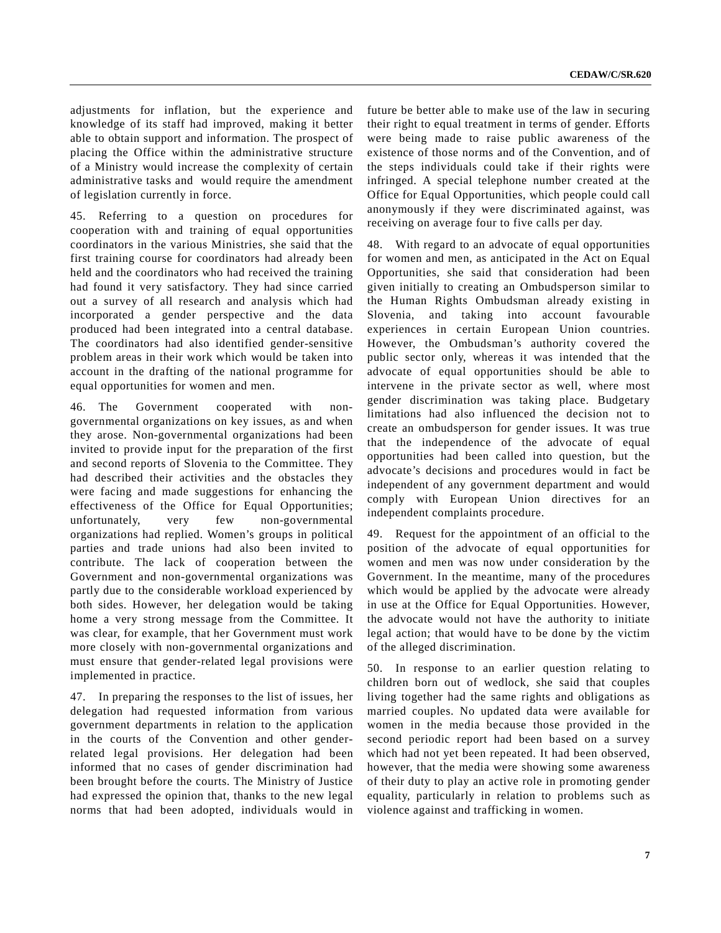adjustments for inflation, but the experience and knowledge of its staff had improved, making it better able to obtain support and information. The prospect of placing the Office within the administrative structure of a Ministry would increase the complexity of certain administrative tasks and would require the amendment of legislation currently in force.

45. Referring to a question on procedures for cooperation with and training of equal opportunities coordinators in the various Ministries, she said that the first training course for coordinators had already been held and the coordinators who had received the training had found it very satisfactory. They had since carried out a survey of all research and analysis which had incorporated a gender perspective and the data produced had been integrated into a central database. The coordinators had also identified gender-sensitive problem areas in their work which would be taken into account in the drafting of the national programme for equal opportunities for women and men.

46. The Government cooperated with nongovernmental organizations on key issues, as and when they arose. Non-governmental organizations had been invited to provide input for the preparation of the first and second reports of Slovenia to the Committee. They had described their activities and the obstacles they were facing and made suggestions for enhancing the effectiveness of the Office for Equal Opportunities; unfortunately, very few non-governmental organizations had replied. Women's groups in political parties and trade unions had also been invited to contribute. The lack of cooperation between the Government and non-governmental organizations was partly due to the considerable workload experienced by both sides. However, her delegation would be taking home a very strong message from the Committee. It was clear, for example, that her Government must work more closely with non-governmental organizations and must ensure that gender-related legal provisions were implemented in practice.

47. In preparing the responses to the list of issues, her delegation had requested information from various government departments in relation to the application in the courts of the Convention and other genderrelated legal provisions. Her delegation had been informed that no cases of gender discrimination had been brought before the courts. The Ministry of Justice had expressed the opinion that, thanks to the new legal norms that had been adopted, individuals would in

future be better able to make use of the law in securing their right to equal treatment in terms of gender. Efforts were being made to raise public awareness of the existence of those norms and of the Convention, and of the steps individuals could take if their rights were infringed. A special telephone number created at the Office for Equal Opportunities, which people could call anonymously if they were discriminated against, was receiving on average four to five calls per day.

48. With regard to an advocate of equal opportunities for women and men, as anticipated in the Act on Equal Opportunities, she said that consideration had been given initially to creating an Ombudsperson similar to the Human Rights Ombudsman already existing in Slovenia, and taking into account favourable experiences in certain European Union countries. However, the Ombudsman's authority covered the public sector only, whereas it was intended that the advocate of equal opportunities should be able to intervene in the private sector as well, where most gender discrimination was taking place. Budgetary limitations had also influenced the decision not to create an ombudsperson for gender issues. It was true that the independence of the advocate of equal opportunities had been called into question, but the advocate's decisions and procedures would in fact be independent of any government department and would comply with European Union directives for an independent complaints procedure.

49. Request for the appointment of an official to the position of the advocate of equal opportunities for women and men was now under consideration by the Government. In the meantime, many of the procedures which would be applied by the advocate were already in use at the Office for Equal Opportunities. However, the advocate would not have the authority to initiate legal action; that would have to be done by the victim of the alleged discrimination.

50. In response to an earlier question relating to children born out of wedlock, she said that couples living together had the same rights and obligations as married couples. No updated data were available for women in the media because those provided in the second periodic report had been based on a survey which had not yet been repeated. It had been observed, however, that the media were showing some awareness of their duty to play an active role in promoting gender equality, particularly in relation to problems such as violence against and trafficking in women.